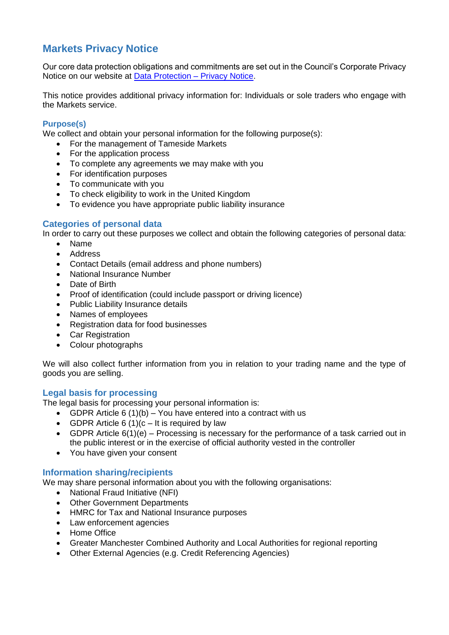# **Markets Privacy Notice**

Our core data protection obligations and commitments are set out in the Council's Corporate Privacy Notice on our website at [Data Protection –](https://www.tameside.gov.uk/dataprotection/PrivacyNotice) Privacy Notice.

This notice provides additional privacy information for: Individuals or sole traders who engage with the Markets service.

## **Purpose(s)**

We collect and obtain your personal information for the following purpose(s):

- For the management of Tameside Markets
- For the application process
- To complete any agreements we may make with you
- For identification purposes
- To communicate with you
- To check eligibility to work in the United Kingdom
- To evidence you have appropriate public liability insurance

## **Categories of personal data**

In order to carry out these purposes we collect and obtain the following categories of personal data:

- Name
- Address
- Contact Details (email address and phone numbers)
- National Insurance Number
- Date of Birth
- Proof of identification (could include passport or driving licence)
- Public Liability Insurance details
- Names of employees
- Registration data for food businesses
- Car Registration
- Colour photographs

We will also collect further information from you in relation to your trading name and the type of goods you are selling.

## **Legal basis for processing**

The legal basis for processing your personal information is:

- GDPR Article  $6(1)(b)$  You have entered into a contract with us
- GDPR Article 6 (1)( $c It$  is required by law
- GDPR Article 6(1)(e) Processing is necessary for the performance of a task carried out in the public interest or in the exercise of official authority vested in the controller
- You have given your consent

## **Information sharing/recipients**

We may share personal information about you with the following organisations:

- National Fraud Initiative (NFI)
- Other Government Departments
- HMRC for Tax and National Insurance purposes
- Law enforcement agencies
- Home Office
- Greater Manchester Combined Authority and Local Authorities for regional reporting
- Other External Agencies (e.g. Credit Referencing Agencies)